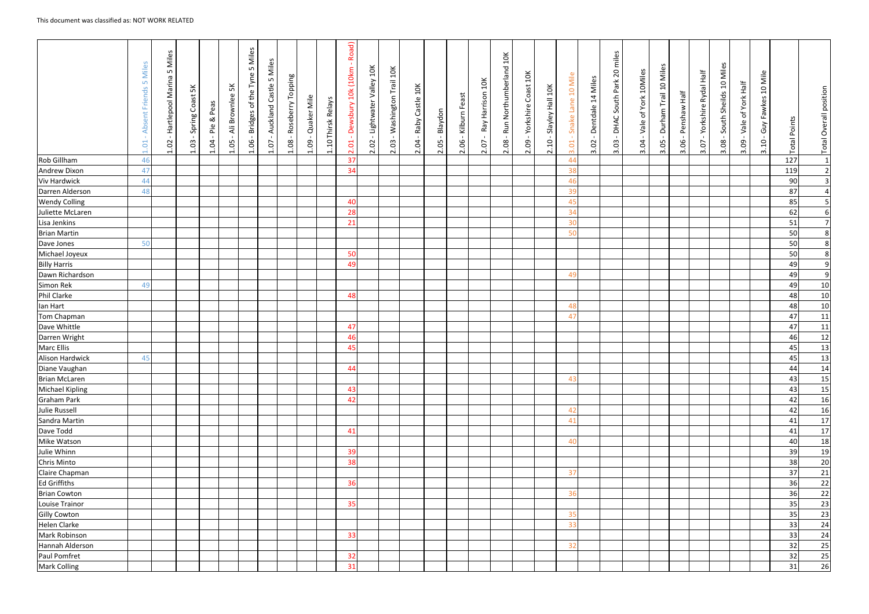|                      | Miles<br>LO <sub>1</sub><br>Friends<br>bsent<br>⋖<br>1.01 | Miles<br>S<br>- Hartlepool Marina<br>1.02 | <u>й</u><br>Coast<br>Spring<br>1.03 | Peas<br>$\propto$<br>$\mathsf{P}^{\mathsf{L}}$<br>$\sim 10^{-1}$<br>1.04 | 兴<br>Brownlee<br>ÄΪ<br>1.05 | 5 Miles<br>of the Tyne<br><b>Bridges</b><br>1.06 | 5 Miles<br>Castle<br>Auckland<br>$\blacksquare$<br>1.07 | <b>Buiddo</b> .<br>⊢<br>Roseberry<br>1.08 | Quaker Mile<br>1.09 | 1.10 Thirsk Relays | Road)<br>$\sim 10^7$<br>10k (10km<br>Dewsbury<br>$\sim 10$<br>2.01 | - Lightwater Valley 10K<br>2.02 | Washington Trail 10K<br>$\mathbf{L}$<br>2.03 | 10K<br>Castle<br>Raby<br>2.04 | Blaydon<br>2.05 | Kilburn Feast<br>$\mathbf{L}$<br>2.06 | 10K<br>Ray Harrison<br>2.07 | Run Northumberland 10K<br>$\mathbf{I}$<br>2.08 | Coast 10K<br>Yorkshire<br>$\sim$ 1 $\sim$<br>2.09 | Slayley Hall 10K<br>$\overline{10}$<br>$\overline{\mathsf{N}}$ | 10 Mile<br>Lane<br>Snake<br>3.01 | Dentdale 14 Miles<br>$\blacksquare$<br>3.02 | 20 miles<br>DHAC South Park<br>$\sim$ 1 $\sim$<br>3.03 | of York 10Miles<br>Vale<br>$\mathbf{L}$<br>3.04 | Miles<br>$\overline{a}$<br>Trail<br>Durham <sup>-</sup><br>3.05 | Half<br>Penshaw<br>3.06 | Half<br>Rydal<br>Yorkshire<br>$\blacksquare$<br>io.<br>$\overline{m}$ | Miles<br>Sheilds 10<br>South<br>3.08 | - Vale of York Half<br>3.09 | 10 Mile<br>Guy Fawkes<br>$\mathbf{L}$<br>3.10 | <b>Total Points</b> | <b>Total Overall position</b> |
|----------------------|-----------------------------------------------------------|-------------------------------------------|-------------------------------------|--------------------------------------------------------------------------|-----------------------------|--------------------------------------------------|---------------------------------------------------------|-------------------------------------------|---------------------|--------------------|--------------------------------------------------------------------|---------------------------------|----------------------------------------------|-------------------------------|-----------------|---------------------------------------|-----------------------------|------------------------------------------------|---------------------------------------------------|----------------------------------------------------------------|----------------------------------|---------------------------------------------|--------------------------------------------------------|-------------------------------------------------|-----------------------------------------------------------------|-------------------------|-----------------------------------------------------------------------|--------------------------------------|-----------------------------|-----------------------------------------------|---------------------|-------------------------------|
| Rob Gillham          | 46                                                        |                                           |                                     |                                                                          |                             |                                                  |                                                         |                                           |                     |                    | 37                                                                 |                                 |                                              |                               |                 |                                       |                             |                                                |                                                   |                                                                | 44                               |                                             |                                                        |                                                 |                                                                 |                         |                                                                       |                                      |                             |                                               | 127                 | $\vert$ 1                     |
| <b>Andrew Dixon</b>  | 47                                                        |                                           |                                     |                                                                          |                             |                                                  |                                                         |                                           |                     |                    | 34                                                                 |                                 |                                              |                               |                 |                                       |                             |                                                |                                                   |                                                                | 38                               |                                             |                                                        |                                                 |                                                                 |                         |                                                                       |                                      |                             |                                               | 119                 | $\overline{2}$                |
| <b>Viv Hardwick</b>  | 44                                                        |                                           |                                     |                                                                          |                             |                                                  |                                                         |                                           |                     |                    |                                                                    |                                 |                                              |                               |                 |                                       |                             |                                                |                                                   |                                                                | 46                               |                                             |                                                        |                                                 |                                                                 |                         |                                                                       |                                      |                             |                                               | 90                  | $\overline{3}$                |
| Darren Alderson      | 48                                                        |                                           |                                     |                                                                          |                             |                                                  |                                                         |                                           |                     |                    |                                                                    |                                 |                                              |                               |                 |                                       |                             |                                                |                                                   |                                                                | 39                               |                                             |                                                        |                                                 |                                                                 |                         |                                                                       |                                      |                             |                                               | 87                  | $\overline{4}$                |
| <b>Wendy Colling</b> |                                                           |                                           |                                     |                                                                          |                             |                                                  |                                                         |                                           |                     |                    | 40                                                                 |                                 |                                              |                               |                 |                                       |                             |                                                |                                                   |                                                                | 45                               |                                             |                                                        |                                                 |                                                                 |                         |                                                                       |                                      |                             |                                               | 85                  | 5 <sub>l</sub>                |
| Juliette McLaren     |                                                           |                                           |                                     |                                                                          |                             |                                                  |                                                         |                                           |                     |                    | 28                                                                 |                                 |                                              |                               |                 |                                       |                             |                                                |                                                   |                                                                | 34                               |                                             |                                                        |                                                 |                                                                 |                         |                                                                       |                                      |                             |                                               | 62                  | $6 \mid$                      |
| Lisa Jenkins         |                                                           |                                           |                                     |                                                                          |                             |                                                  |                                                         |                                           |                     |                    | 21                                                                 |                                 |                                              |                               |                 |                                       |                             |                                                |                                                   |                                                                | 30                               |                                             |                                                        |                                                 |                                                                 |                         |                                                                       |                                      |                             |                                               | 51                  | $\overline{7}$                |
| <b>Brian Martin</b>  |                                                           |                                           |                                     |                                                                          |                             |                                                  |                                                         |                                           |                     |                    |                                                                    |                                 |                                              |                               |                 |                                       |                             |                                                |                                                   |                                                                | 50                               |                                             |                                                        |                                                 |                                                                 |                         |                                                                       |                                      |                             |                                               | 50                  | 8 <sup>°</sup>                |
| Dave Jones           | 50                                                        |                                           |                                     |                                                                          |                             |                                                  |                                                         |                                           |                     |                    |                                                                    |                                 |                                              |                               |                 |                                       |                             |                                                |                                                   |                                                                |                                  |                                             |                                                        |                                                 |                                                                 |                         |                                                                       |                                      |                             |                                               | 50                  | 8 <sup>2</sup>                |
| Michael Joyeux       |                                                           |                                           |                                     |                                                                          |                             |                                                  |                                                         |                                           |                     |                    | 50                                                                 |                                 |                                              |                               |                 |                                       |                             |                                                |                                                   |                                                                |                                  |                                             |                                                        |                                                 |                                                                 |                         |                                                                       |                                      |                             |                                               | 50                  | 8 <sup>°</sup>                |
| <b>Billy Harris</b>  |                                                           |                                           |                                     |                                                                          |                             |                                                  |                                                         |                                           |                     |                    | 49                                                                 |                                 |                                              |                               |                 |                                       |                             |                                                |                                                   |                                                                |                                  |                                             |                                                        |                                                 |                                                                 |                         |                                                                       |                                      |                             |                                               | 49                  | 9                             |
| Dawn Richardson      |                                                           |                                           |                                     |                                                                          |                             |                                                  |                                                         |                                           |                     |                    |                                                                    |                                 |                                              |                               |                 |                                       |                             |                                                |                                                   |                                                                | 49                               |                                             |                                                        |                                                 |                                                                 |                         |                                                                       |                                      |                             |                                               | 49                  | 9                             |
| Simon Rek            | 49                                                        |                                           |                                     |                                                                          |                             |                                                  |                                                         |                                           |                     |                    |                                                                    |                                 |                                              |                               |                 |                                       |                             |                                                |                                                   |                                                                |                                  |                                             |                                                        |                                                 |                                                                 |                         |                                                                       |                                      |                             |                                               | 49                  | 10                            |
| Phil Clarke          |                                                           |                                           |                                     |                                                                          |                             |                                                  |                                                         |                                           |                     |                    | 48                                                                 |                                 |                                              |                               |                 |                                       |                             |                                                |                                                   |                                                                |                                  |                                             |                                                        |                                                 |                                                                 |                         |                                                                       |                                      |                             |                                               | 48                  | $10\,$                        |
| lan Hart             |                                                           |                                           |                                     |                                                                          |                             |                                                  |                                                         |                                           |                     |                    |                                                                    |                                 |                                              |                               |                 |                                       |                             |                                                |                                                   |                                                                | 48                               |                                             |                                                        |                                                 |                                                                 |                         |                                                                       |                                      |                             |                                               | 48                  | 10                            |
| Tom Chapman          |                                                           |                                           |                                     |                                                                          |                             |                                                  |                                                         |                                           |                     |                    |                                                                    |                                 |                                              |                               |                 |                                       |                             |                                                |                                                   |                                                                | 47                               |                                             |                                                        |                                                 |                                                                 |                         |                                                                       |                                      |                             |                                               | 47                  | 11                            |
| Dave Whittle         |                                                           |                                           |                                     |                                                                          |                             |                                                  |                                                         |                                           |                     |                    | 47                                                                 |                                 |                                              |                               |                 |                                       |                             |                                                |                                                   |                                                                |                                  |                                             |                                                        |                                                 |                                                                 |                         |                                                                       |                                      |                             |                                               | 47                  | 11                            |
| Darren Wright        |                                                           |                                           |                                     |                                                                          |                             |                                                  |                                                         |                                           |                     |                    | 46                                                                 |                                 |                                              |                               |                 |                                       |                             |                                                |                                                   |                                                                |                                  |                                             |                                                        |                                                 |                                                                 |                         |                                                                       |                                      |                             |                                               | 46                  | 12                            |
| <b>Marc Ellis</b>    |                                                           |                                           |                                     |                                                                          |                             |                                                  |                                                         |                                           |                     |                    | 45                                                                 |                                 |                                              |                               |                 |                                       |                             |                                                |                                                   |                                                                |                                  |                                             |                                                        |                                                 |                                                                 |                         |                                                                       |                                      |                             |                                               | 45                  | 13                            |
| Alison Hardwick      | 45                                                        |                                           |                                     |                                                                          |                             |                                                  |                                                         |                                           |                     |                    |                                                                    |                                 |                                              |                               |                 |                                       |                             |                                                |                                                   |                                                                |                                  |                                             |                                                        |                                                 |                                                                 |                         |                                                                       |                                      |                             |                                               | 45                  | 13                            |
| Diane Vaughan        |                                                           |                                           |                                     |                                                                          |                             |                                                  |                                                         |                                           |                     |                    | 44                                                                 |                                 |                                              |                               |                 |                                       |                             |                                                |                                                   |                                                                |                                  |                                             |                                                        |                                                 |                                                                 |                         |                                                                       |                                      |                             |                                               | 44                  | 14                            |
| Brian McLaren        |                                                           |                                           |                                     |                                                                          |                             |                                                  |                                                         |                                           |                     |                    |                                                                    |                                 |                                              |                               |                 |                                       |                             |                                                |                                                   |                                                                | 43                               |                                             |                                                        |                                                 |                                                                 |                         |                                                                       |                                      |                             |                                               | 43                  | 15                            |
| Michael Kipling      |                                                           |                                           |                                     |                                                                          |                             |                                                  |                                                         |                                           |                     |                    | 43                                                                 |                                 |                                              |                               |                 |                                       |                             |                                                |                                                   |                                                                |                                  |                                             |                                                        |                                                 |                                                                 |                         |                                                                       |                                      |                             |                                               | 43                  | 15                            |
| Graham Park          |                                                           |                                           |                                     |                                                                          |                             |                                                  |                                                         |                                           |                     |                    | 42                                                                 |                                 |                                              |                               |                 |                                       |                             |                                                |                                                   |                                                                |                                  |                                             |                                                        |                                                 |                                                                 |                         |                                                                       |                                      |                             |                                               | 42                  | 16                            |
| Julie Russell        |                                                           |                                           |                                     |                                                                          |                             |                                                  |                                                         |                                           |                     |                    |                                                                    |                                 |                                              |                               |                 |                                       |                             |                                                |                                                   |                                                                | 42                               |                                             |                                                        |                                                 |                                                                 |                         |                                                                       |                                      |                             |                                               | 42                  | 16                            |
| Sandra Martin        |                                                           |                                           |                                     |                                                                          |                             |                                                  |                                                         |                                           |                     |                    |                                                                    |                                 |                                              |                               |                 |                                       |                             |                                                |                                                   |                                                                | 41                               |                                             |                                                        |                                                 |                                                                 |                         |                                                                       |                                      |                             |                                               | 41                  | 17                            |
| Dave Todd            |                                                           |                                           |                                     |                                                                          |                             |                                                  |                                                         |                                           |                     |                    | 41                                                                 |                                 |                                              |                               |                 |                                       |                             |                                                |                                                   |                                                                |                                  |                                             |                                                        |                                                 |                                                                 |                         |                                                                       |                                      |                             |                                               | 41                  | 17                            |
| Mike Watson          |                                                           |                                           |                                     |                                                                          |                             |                                                  |                                                         |                                           |                     |                    |                                                                    |                                 |                                              |                               |                 |                                       |                             |                                                |                                                   |                                                                | 40                               |                                             |                                                        |                                                 |                                                                 |                         |                                                                       |                                      |                             |                                               | 40                  | 18                            |
| Julie Whinn          |                                                           |                                           |                                     |                                                                          |                             |                                                  |                                                         |                                           |                     |                    | 39                                                                 |                                 |                                              |                               |                 |                                       |                             |                                                |                                                   |                                                                |                                  |                                             |                                                        |                                                 |                                                                 |                         |                                                                       |                                      |                             |                                               | 39                  | 19                            |
| Chris Minto          |                                                           |                                           |                                     |                                                                          |                             |                                                  |                                                         |                                           |                     |                    | 38                                                                 |                                 |                                              |                               |                 |                                       |                             |                                                |                                                   |                                                                |                                  |                                             |                                                        |                                                 |                                                                 |                         |                                                                       |                                      |                             |                                               | 38                  | 20                            |
| Claire Chapman       |                                                           |                                           |                                     |                                                                          |                             |                                                  |                                                         |                                           |                     |                    |                                                                    |                                 |                                              |                               |                 |                                       |                             |                                                |                                                   |                                                                | 37                               |                                             |                                                        |                                                 |                                                                 |                         |                                                                       |                                      |                             |                                               | 37                  | 21                            |
| Ed Griffiths         |                                                           |                                           |                                     |                                                                          |                             |                                                  |                                                         |                                           |                     |                    | 36                                                                 |                                 |                                              |                               |                 |                                       |                             |                                                |                                                   |                                                                |                                  |                                             |                                                        |                                                 |                                                                 |                         |                                                                       |                                      |                             |                                               | 36                  | 22                            |
| <b>Brian Cowton</b>  |                                                           |                                           |                                     |                                                                          |                             |                                                  |                                                         |                                           |                     |                    |                                                                    |                                 |                                              |                               |                 |                                       |                             |                                                |                                                   |                                                                | 36                               |                                             |                                                        |                                                 |                                                                 |                         |                                                                       |                                      |                             |                                               | 36                  | 22                            |
| Louise Trainor       |                                                           |                                           |                                     |                                                                          |                             |                                                  |                                                         |                                           |                     |                    | 35                                                                 |                                 |                                              |                               |                 |                                       |                             |                                                |                                                   |                                                                |                                  |                                             |                                                        |                                                 |                                                                 |                         |                                                                       |                                      |                             |                                               | 35                  | 23                            |
| <b>Gilly Cowton</b>  |                                                           |                                           |                                     |                                                                          |                             |                                                  |                                                         |                                           |                     |                    |                                                                    |                                 |                                              |                               |                 |                                       |                             |                                                |                                                   |                                                                | 35                               |                                             |                                                        |                                                 |                                                                 |                         |                                                                       |                                      |                             |                                               | 35                  | 23                            |
| Helen Clarke         |                                                           |                                           |                                     |                                                                          |                             |                                                  |                                                         |                                           |                     |                    |                                                                    |                                 |                                              |                               |                 |                                       |                             |                                                |                                                   |                                                                | 33                               |                                             |                                                        |                                                 |                                                                 |                         |                                                                       |                                      |                             |                                               | 33                  | 24                            |
| Mark Robinson        |                                                           |                                           |                                     |                                                                          |                             |                                                  |                                                         |                                           |                     |                    | 33                                                                 |                                 |                                              |                               |                 |                                       |                             |                                                |                                                   |                                                                |                                  |                                             |                                                        |                                                 |                                                                 |                         |                                                                       |                                      |                             |                                               | 33                  | 24                            |
| Hannah Alderson      |                                                           |                                           |                                     |                                                                          |                             |                                                  |                                                         |                                           |                     |                    |                                                                    |                                 |                                              |                               |                 |                                       |                             |                                                |                                                   |                                                                | 32                               |                                             |                                                        |                                                 |                                                                 |                         |                                                                       |                                      |                             |                                               | 32                  | 25                            |
| Paul Pomfret         |                                                           |                                           |                                     |                                                                          |                             |                                                  |                                                         |                                           |                     |                    | 32                                                                 |                                 |                                              |                               |                 |                                       |                             |                                                |                                                   |                                                                |                                  |                                             |                                                        |                                                 |                                                                 |                         |                                                                       |                                      |                             |                                               | 32                  | 25                            |
| <b>Mark Colling</b>  |                                                           |                                           |                                     |                                                                          |                             |                                                  |                                                         |                                           |                     |                    | 31                                                                 |                                 |                                              |                               |                 |                                       |                             |                                                |                                                   |                                                                |                                  |                                             |                                                        |                                                 |                                                                 |                         |                                                                       |                                      |                             |                                               | 31                  | 26                            |
|                      |                                                           |                                           |                                     |                                                                          |                             |                                                  |                                                         |                                           |                     |                    |                                                                    |                                 |                                              |                               |                 |                                       |                             |                                                |                                                   |                                                                |                                  |                                             |                                                        |                                                 |                                                                 |                         |                                                                       |                                      |                             |                                               |                     |                               |